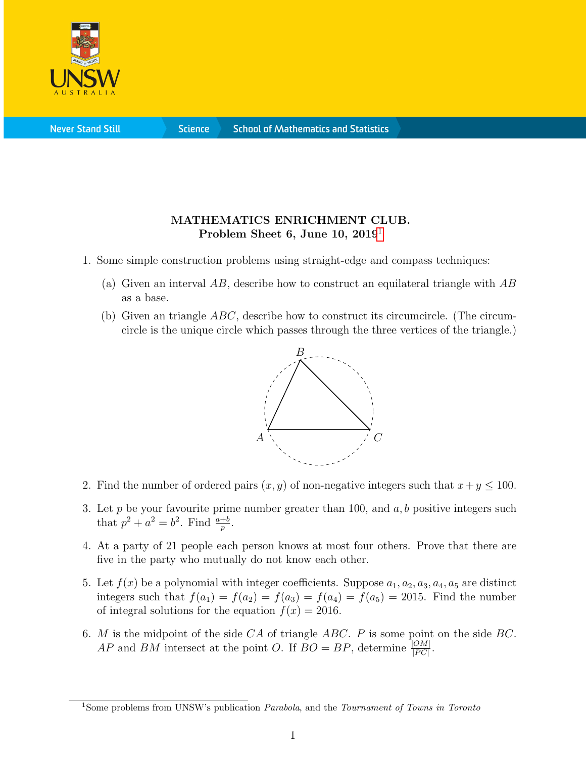

**Science** 

## MATHEMATICS ENRICHMENT CLUB. Problem Sheet 6, June [1](#page-0-0)0, 2019<sup>1</sup>

- 1. Some simple construction problems using straight-edge and compass techniques:
	- (a) Given an interval  $AB$ , describe how to construct an equilateral triangle with  $AB$ as a base.
	- (b) Given an triangle  $ABC$ , describe how to construct its circumcircle. (The circumcircle is the unique circle which passes through the three vertices of the triangle.)



- 2. Find the number of ordered pairs  $(x, y)$  of non-negative integers such that  $x + y \le 100$ .
- 3. Let p be your favourite prime number greater than 100, and  $a, b$  positive integers such that  $p^2 + a^2 = b^2$ . Find  $\frac{a+b}{p}$ .
- 4. At a party of 21 people each person knows at most four others. Prove that there are five in the party who mutually do not know each other.
- 5. Let  $f(x)$  be a polynomial with integer coefficients. Suppose  $a_1, a_2, a_3, a_4, a_5$  are distinct integers such that  $f(a_1) = f(a_2) = f(a_3) = f(a_4) = f(a_5) = 2015$ . Find the number of integral solutions for the equation  $f(x) = 2016$ .
- 6. M is the midpoint of the side  $CA$  of triangle ABC. P is some point on the side BC. AP and BM intersect at the point O. If  $BO = BP$ , determine  $\frac{|OM|}{|PC|}$ .

<span id="page-0-0"></span><sup>&</sup>lt;sup>1</sup>Some problems from UNSW's publication *Parabola*, and the *Tournament of Towns in Toronto*